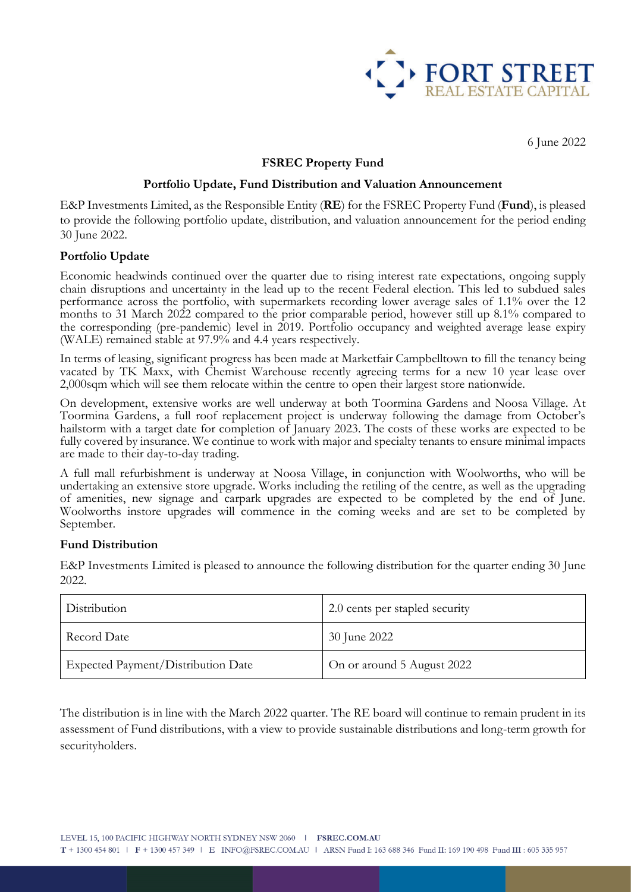

6 June 2022

# **FSREC Property Fund**

### **Portfolio Update, Fund Distribution and Valuation Announcement**

E&P Investments Limited, as the Responsible Entity (**RE**) for the FSREC Property Fund (**Fund**), is pleased to provide the following portfolio update, distribution, and valuation announcement for the period ending 30 June 2022.

#### **Portfolio Update**

Economic headwinds continued over the quarter due to rising interest rate expectations, ongoing supply chain disruptions and uncertainty in the lead up to the recent Federal election. This led to subdued sales performance across the portfolio, with supermarkets recording lower average sales of 1.1% over the 12 months to 31 March 2022 compared to the prior comparable period, however still up 8.1% compared to the corresponding (pre-pandemic) level in 2019. Portfolio occupancy and weighted average lease expiry (WALE) remained stable at 97.9% and 4.4 years respectively.

In terms of leasing, significant progress has been made at Marketfair Campbelltown to fill the tenancy being vacated by TK Maxx, with Chemist Warehouse recently agreeing terms for a new 10 year lease over 2,000sqm which will see them relocate within the centre to open their largest store nationwide.

On development, extensive works are well underway at both Toormina Gardens and Noosa Village. At Toormina Gardens, a full roof replacement project is underway following the damage from October's hailstorm with a target date for completion of January 2023. The costs of these works are expected to be fully covered by insurance. We continue to work with major and specialty tenants to ensure minimal impacts are made to their day-to-day trading.

A full mall refurbishment is underway at Noosa Village, in conjunction with Woolworths, who will be undertaking an extensive store upgrade. Works including the retiling of the centre, as well as the upgrading of amenities, new signage and carpark upgrades are expected to be completed by the end of June. Woolworths instore upgrades will commence in the coming weeks and are set to be completed by September.

## **Fund Distribution**

E&P Investments Limited is pleased to announce the following distribution for the quarter ending 30 June 2022.

| Distribution                       | 2.0 cents per stapled security |
|------------------------------------|--------------------------------|
| Record Date                        | 30 June 2022                   |
| Expected Payment/Distribution Date | On or around 5 August 2022     |

The distribution is in line with the March 2022 quarter. The RE board will continue to remain prudent in its assessment of Fund distributions, with a view to provide sustainable distributions and long-term growth for securityholders.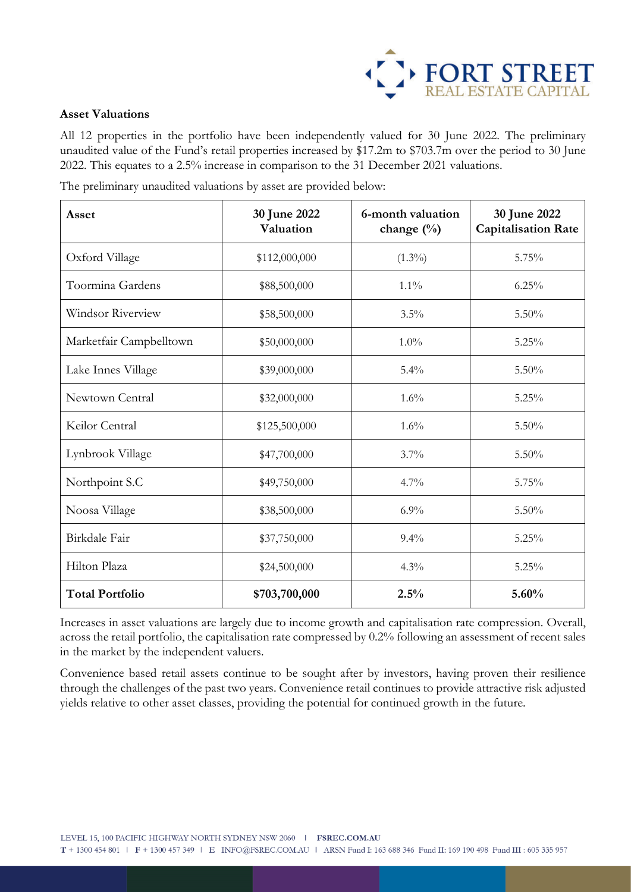

## **Asset Valuations**

All 12 properties in the portfolio have been independently valued for 30 June 2022. The preliminary unaudited value of the Fund's retail properties increased by \$17.2m to \$703.7m over the period to 30 June 2022. This equates to a 2.5% increase in comparison to the 31 December 2021 valuations.

The preliminary unaudited valuations by asset are provided below:

| Asset                   | 30 June 2022<br>Valuation | 6-month valuation<br>change (%) | 30 June 2022<br><b>Capitalisation Rate</b> |
|-------------------------|---------------------------|---------------------------------|--------------------------------------------|
| Oxford Village          | \$112,000,000             | $(1.3\%)$                       | 5.75%                                      |
| Toormina Gardens        | \$88,500,000              | $1.1\%$                         | 6.25%                                      |
| Windsor Riverview       | \$58,500,000              | 3.5%                            | 5.50%                                      |
| Marketfair Campbelltown | \$50,000,000              | $1.0\%$                         | 5.25%                                      |
| Lake Innes Village      | \$39,000,000              | 5.4%                            | 5.50%                                      |
| Newtown Central         | \$32,000,000              | 1.6%                            | 5.25%                                      |
| Keilor Central          | \$125,500,000             | 1.6%                            | 5.50%                                      |
| Lynbrook Village        | \$47,700,000              | 3.7%                            | 5.50%                                      |
| Northpoint S.C          | \$49,750,000              | 4.7%                            | 5.75%                                      |
| Noosa Village           | \$38,500,000              | 6.9%                            | 5.50%                                      |
| Birkdale Fair           | \$37,750,000              | 9.4%                            | 5.25%                                      |
| Hilton Plaza            | \$24,500,000              | 4.3%                            | 5.25%                                      |
| <b>Total Portfolio</b>  | \$703,700,000             | 2.5%                            | 5.60%                                      |

Increases in asset valuations are largely due to income growth and capitalisation rate compression. Overall, across the retail portfolio, the capitalisation rate compressed by 0.2% following an assessment of recent sales in the market by the independent valuers.

Convenience based retail assets continue to be sought after by investors, having proven their resilience through the challenges of the past two years. Convenience retail continues to provide attractive risk adjusted yields relative to other asset classes, providing the potential for continued growth in the future.